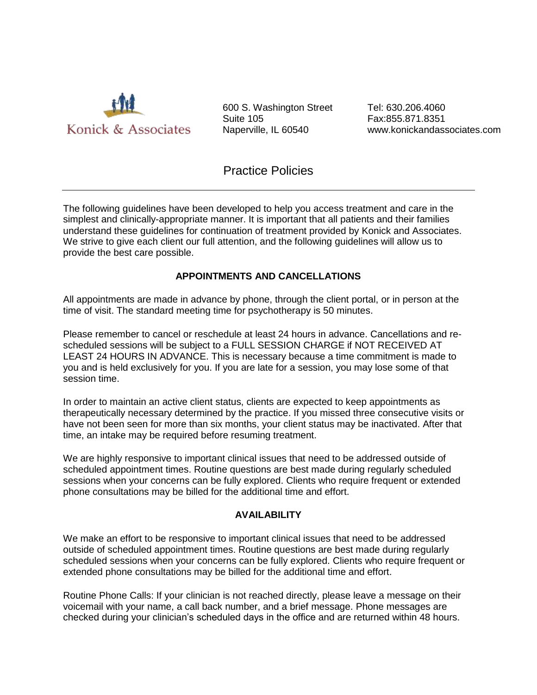

600 S. Washington Street Suite 105 Naperville, IL 60540

Tel: 630.206.4060 Fax:855.871.8351 www.konickandassociates.com

# Practice Policies

The following guidelines have been developed to help you access treatment and care in the simplest and clinically-appropriate manner. It is important that all patients and their families understand these guidelines for continuation of treatment provided by Konick and Associates. We strive to give each client our full attention, and the following guidelines will allow us to provide the best care possible.

# **APPOINTMENTS AND CANCELLATIONS**

All appointments are made in advance by phone, through the client portal, or in person at the time of visit. The standard meeting time for psychotherapy is 50 minutes.

Please remember to cancel or reschedule at least 24 hours in advance. Cancellations and rescheduled sessions will be subject to a FULL SESSION CHARGE if NOT RECEIVED AT LEAST 24 HOURS IN ADVANCE. This is necessary because a time commitment is made to you and is held exclusively for you. If you are late for a session, you may lose some of that session time.

In order to maintain an active client status, clients are expected to keep appointments as therapeutically necessary determined by the practice. If you missed three consecutive visits or have not been seen for more than six months, your client status may be inactivated. After that time, an intake may be required before resuming treatment.

We are highly responsive to important clinical issues that need to be addressed outside of scheduled appointment times. Routine questions are best made during regularly scheduled sessions when your concerns can be fully explored. Clients who require frequent or extended phone consultations may be billed for the additional time and effort.

# **AVAILABILITY**

We make an effort to be responsive to important clinical issues that need to be addressed outside of scheduled appointment times. Routine questions are best made during regularly scheduled sessions when your concerns can be fully explored. Clients who require frequent or extended phone consultations may be billed for the additional time and effort.

Routine Phone Calls: If your clinician is not reached directly, please leave a message on their voicemail with your name, a call back number, and a brief message. Phone messages are checked during your clinician's scheduled days in the office and are returned within 48 hours.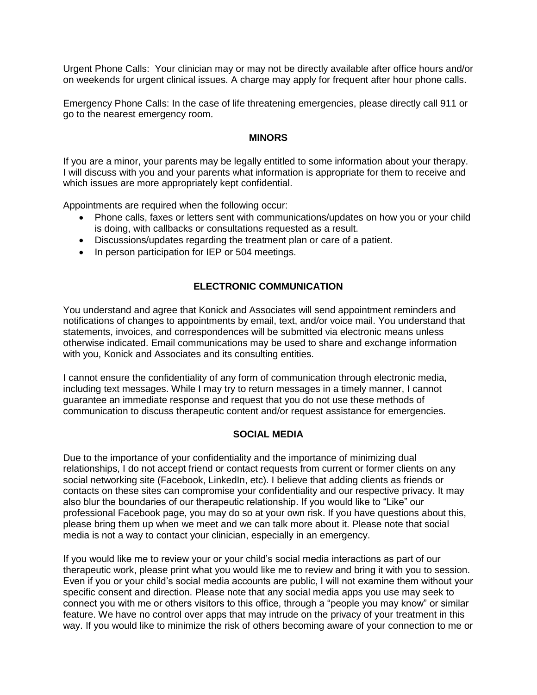Urgent Phone Calls: Your clinician may or may not be directly available after office hours and/or on weekends for urgent clinical issues. A charge may apply for frequent after hour phone calls.

Emergency Phone Calls: In the case of life threatening emergencies, please directly call 911 or go to the nearest emergency room.

#### **MINORS**

If you are a minor, your parents may be legally entitled to some information about your therapy. I will discuss with you and your parents what information is appropriate for them to receive and which issues are more appropriately kept confidential.

Appointments are required when the following occur:

- Phone calls, faxes or letters sent with communications/updates on how you or your child is doing, with callbacks or consultations requested as a result.
- Discussions/updates regarding the treatment plan or care of a patient.
- In person participation for IEP or 504 meetings.

### **ELECTRONIC COMMUNICATION**

You understand and agree that Konick and Associates will send appointment reminders and notifications of changes to appointments by email, text, and/or voice mail. You understand that statements, invoices, and correspondences will be submitted via electronic means unless otherwise indicated. Email communications may be used to share and exchange information with you, Konick and Associates and its consulting entities.

I cannot ensure the confidentiality of any form of communication through electronic media, including text messages. While I may try to return messages in a timely manner, I cannot guarantee an immediate response and request that you do not use these methods of communication to discuss therapeutic content and/or request assistance for emergencies.

#### **SOCIAL MEDIA**

Due to the importance of your confidentiality and the importance of minimizing dual relationships, I do not accept friend or contact requests from current or former clients on any social networking site (Facebook, LinkedIn, etc). I believe that adding clients as friends or contacts on these sites can compromise your confidentiality and our respective privacy. It may also blur the boundaries of our therapeutic relationship. If you would like to "Like" our professional Facebook page, you may do so at your own risk. If you have questions about this, please bring them up when we meet and we can talk more about it. Please note that social media is not a way to contact your clinician, especially in an emergency.

If you would like me to review your or your child's social media interactions as part of our therapeutic work, please print what you would like me to review and bring it with you to session. Even if you or your child's social media accounts are public, I will not examine them without your specific consent and direction. Please note that any social media apps you use may seek to connect you with me or others visitors to this office, through a "people you may know" or similar feature. We have no control over apps that may intrude on the privacy of your treatment in this way. If you would like to minimize the risk of others becoming aware of your connection to me or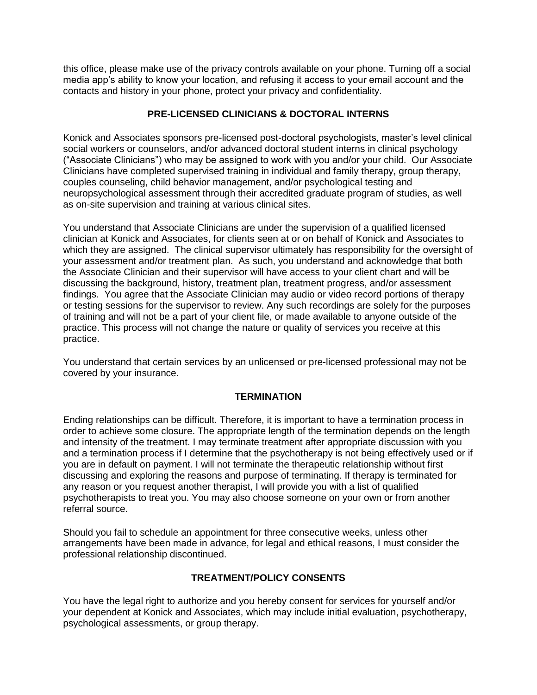this office, please make use of the privacy controls available on your phone. Turning off a social media app's ability to know your location, and refusing it access to your email account and the contacts and history in your phone, protect your privacy and confidentiality.

# **PRE-LICENSED CLINICIANS & DOCTORAL INTERNS**

Konick and Associates sponsors pre-licensed post-doctoral psychologists, master's level clinical social workers or counselors, and/or advanced doctoral student interns in clinical psychology ("Associate Clinicians") who may be assigned to work with you and/or your child. Our Associate Clinicians have completed supervised training in individual and family therapy, group therapy, couples counseling, child behavior management, and/or psychological testing and neuropsychological assessment through their accredited graduate program of studies, as well as on-site supervision and training at various clinical sites.

You understand that Associate Clinicians are under the supervision of a qualified licensed clinician at Konick and Associates, for clients seen at or on behalf of Konick and Associates to which they are assigned. The clinical supervisor ultimately has responsibility for the oversight of your assessment and/or treatment plan. As such, you understand and acknowledge that both the Associate Clinician and their supervisor will have access to your client chart and will be discussing the background, history, treatment plan, treatment progress, and/or assessment findings. You agree that the Associate Clinician may audio or video record portions of therapy or testing sessions for the supervisor to review. Any such recordings are solely for the purposes of training and will not be a part of your client file, or made available to anyone outside of the practice. This process will not change the nature or quality of services you receive at this practice.

You understand that certain services by an unlicensed or pre-licensed professional may not be covered by your insurance.

# **TERMINATION**

Ending relationships can be difficult. Therefore, it is important to have a termination process in order to achieve some closure. The appropriate length of the termination depends on the length and intensity of the treatment. I may terminate treatment after appropriate discussion with you and a termination process if I determine that the psychotherapy is not being effectively used or if you are in default on payment. I will not terminate the therapeutic relationship without first discussing and exploring the reasons and purpose of terminating. If therapy is terminated for any reason or you request another therapist, I will provide you with a list of qualified psychotherapists to treat you. You may also choose someone on your own or from another referral source.

Should you fail to schedule an appointment for three consecutive weeks, unless other arrangements have been made in advance, for legal and ethical reasons, I must consider the professional relationship discontinued.

# **TREATMENT/POLICY CONSENTS**

You have the legal right to authorize and you hereby consent for services for yourself and/or your dependent at Konick and Associates, which may include initial evaluation, psychotherapy, psychological assessments, or group therapy.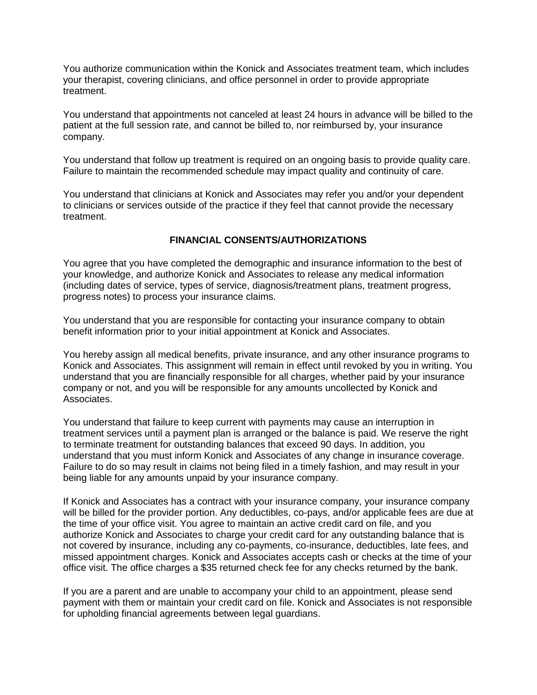You authorize communication within the Konick and Associates treatment team, which includes your therapist, covering clinicians, and office personnel in order to provide appropriate treatment.

You understand that appointments not canceled at least 24 hours in advance will be billed to the patient at the full session rate, and cannot be billed to, nor reimbursed by, your insurance company.

You understand that follow up treatment is required on an ongoing basis to provide quality care. Failure to maintain the recommended schedule may impact quality and continuity of care.

You understand that clinicians at Konick and Associates may refer you and/or your dependent to clinicians or services outside of the practice if they feel that cannot provide the necessary treatment.

# **FINANCIAL CONSENTS/AUTHORIZATIONS**

You agree that you have completed the demographic and insurance information to the best of your knowledge, and authorize Konick and Associates to release any medical information (including dates of service, types of service, diagnosis/treatment plans, treatment progress, progress notes) to process your insurance claims.

You understand that you are responsible for contacting your insurance company to obtain benefit information prior to your initial appointment at Konick and Associates.

You hereby assign all medical benefits, private insurance, and any other insurance programs to Konick and Associates. This assignment will remain in effect until revoked by you in writing. You understand that you are financially responsible for all charges, whether paid by your insurance company or not, and you will be responsible for any amounts uncollected by Konick and Associates.

You understand that failure to keep current with payments may cause an interruption in treatment services until a payment plan is arranged or the balance is paid. We reserve the right to terminate treatment for outstanding balances that exceed 90 days. In addition, you understand that you must inform Konick and Associates of any change in insurance coverage. Failure to do so may result in claims not being filed in a timely fashion, and may result in your being liable for any amounts unpaid by your insurance company.

If Konick and Associates has a contract with your insurance company, your insurance company will be billed for the provider portion. Any deductibles, co-pays, and/or applicable fees are due at the time of your office visit. You agree to maintain an active credit card on file, and you authorize Konick and Associates to charge your credit card for any outstanding balance that is not covered by insurance, including any co-payments, co-insurance, deductibles, late fees, and missed appointment charges. Konick and Associates accepts cash or checks at the time of your office visit. The office charges a \$35 returned check fee for any checks returned by the bank.

If you are a parent and are unable to accompany your child to an appointment, please send payment with them or maintain your credit card on file. Konick and Associates is not responsible for upholding financial agreements between legal guardians.